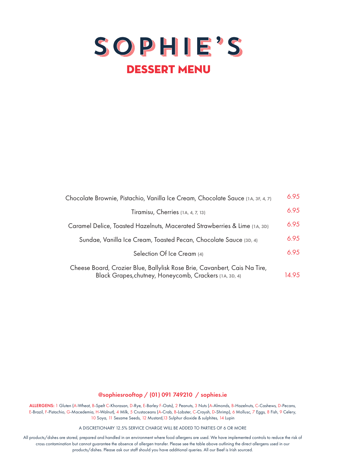

| Chocolate Brownie, Pistachio, Vanilla Ice Cream, Chocolate Sauce (1A, 3F, 4, 7)                                                     | 6.95  |
|-------------------------------------------------------------------------------------------------------------------------------------|-------|
| Tiramisu, Cherries (1A, 4, 7, 13)                                                                                                   | 6.95  |
| Caramel Delice, Toasted Hazelnuts, Macerated Strawberries & Lime (1A, 3D)                                                           | 6.95  |
| Sundae, Vanilla Ice Cream, Toasted Pecan, Chocolate Sauce (3D, 4)                                                                   | 6.95  |
| Selection Of Ice Cream (4)                                                                                                          | 6.95  |
| Cheese Board, Crozier Blue, Ballylisk Rose Brie, Cavanbert, Cais Na Tire,<br>Black Grapes, chutney, Honeycomb, Crackers (1A, 3D, 4) | 14.95 |

@sophiesrooftop / (01) 091 749210 / sophies.ie

ALLERGENS: 1 Gluten (A-Wheat, B-Spelt C-Khorasan, D-Rye, E-Barley F-Oats), 2 Peanuts, 3 Nuts (A-Almonds, B-Hazelnuts, C-Cashews, D-Pecans, E-Brazil, F-Pistachio, G-Macedemia, H-Walnut), 4 Milk, 5 Crustaceans (A-Crab, B-Lobster, C-Craysh, D-Shrimp), 6 Mollusc, 7 Eggs, 8 Fish, 9 Celery, 10 Soya, 11 Sesame Seeds, 12 Mustard,13 Sulphur dioxide & sulphites, 14 Lupin

A DISCRETIONARY 12.5% SERVICE CHARGE WILL BE ADDED TO PARTIES OF 6 OR MORE

All products/dishes are stored, prepared and handled in an environment where food allergens are used. We have implemented controls to reduce the risk of cross contamination but cannot guarantee the absence of allergen transfer. Please see the table above outlining the direct allergens used in our products/dishes. Please ask our staff should you have additional queries. All our Beef is Irish sourced.